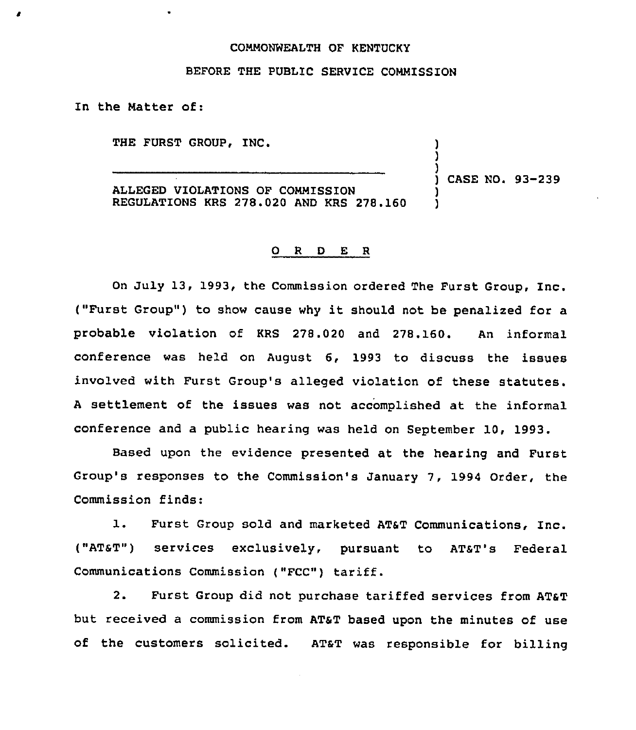## COMMONWEALTH OF KENTUCKY

## BEFORE THE PUBLIC SERVICE COMMISSION

In the Matter of:

THE FURST GROUP, INC.

ALLEGED VIOLATIONS OF COMMISSION REGULATIONS KRS 278.020 AND KRS 278.160 ) CASE NO. 93-239

) ) )

) )

## 0 <sup>R</sup> <sup>D</sup> E <sup>R</sup>

On July 13, 1993, the Commission ordered The Furst Group, Inc. ("Furst Group") to show cause why it should not be penalized for a probable violation of KRS 276.020 and 278.160. An informal conference was held on August 6, 1993 to discuss the issues involved with Furst Group's alleged violation of these statutes. <sup>A</sup> settlement of the issues was not accomplished at the informal conference and a public hearing was held on September 10, 1993.

Based upon the evidence presented at the hearing and Furst Group's responses to the Commission's January 7, 1994 Order, the Commission finds:

1. Furst Group sold and marketed ATST Communications, Inc. ("ATST") services exclusively, pursuant to ATaT's Federal Communications Commission ("FCC") tariff.

2. Furst Group did not purchase tariffed services from ATST but received a commission from ATST based upon the minutes of use of the customers solicited. ATST was responsible for billing